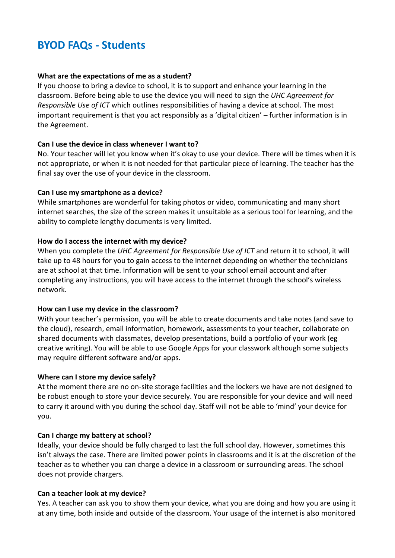# **BYOD FAQs - Students**

#### **What are the expectations of me as a student?**

If you choose to bring a device to school, it is to support and enhance your learning in the classroom. Before being able to use the device you will need to sign the *UHC Agreement for Responsible Use of ICT* which outlines responsibilities of having a device at school. The most important requirement is that you act responsibly as a 'digital citizen' – further information is in the Agreement.

#### **Can I use the device in class whenever I want to?**

No. Your teacher will let you know when it's okay to use your device. There will be times when it is not appropriate, or when it is not needed for that particular piece of learning. The teacher has the final say over the use of your device in the classroom.

#### **Can I use my smartphone as a device?**

While smartphones are wonderful for taking photos or video, communicating and many short internet searches, the size of the screen makes it unsuitable as a serious tool for learning, and the ability to complete lengthy documents is very limited.

### **How do I access the internet with my device?**

When you complete the *UHC Agreement for Responsible Use of ICT* and return it to school, it will take up to 48 hours for you to gain access to the internet depending on whether the technicians are at school at that time. Information will be sent to your school email account and after completing any instructions, you will have access to the internet through the school's wireless network.

#### **How can I use my device in the classroom?**

With your teacher's permission, you will be able to create documents and take notes (and save to the cloud), research, email information, homework, assessments to your teacher, collaborate on shared documents with classmates, develop presentations, build a portfolio of your work (eg creative writing). You will be able to use Google Apps for your classwork although some subjects may require different software and/or apps.

#### **Where can I store my device safely?**

At the moment there are no on-site storage facilities and the lockers we have are not designed to be robust enough to store your device securely. You are responsible for your device and will need to carry it around with you during the school day. Staff will not be able to 'mind' your device for you.

#### **Can I charge my battery at school?**

Ideally, your device should be fully charged to last the full school day. However, sometimes this isn't always the case. There are limited power points in classrooms and it is at the discretion of the teacher as to whether you can charge a device in a classroom or surrounding areas. The school does not provide chargers.

#### **Can a teacher look at my device?**

Yes. A teacher can ask you to show them your device, what you are doing and how you are using it at any time, both inside and outside of the classroom. Your usage of the internet is also monitored